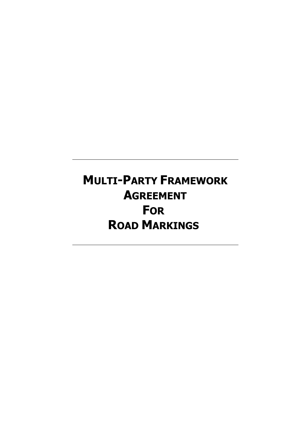# **MULTI-PARTY FRAMEWORK AGREEMENT FOR ROAD MARKINGS**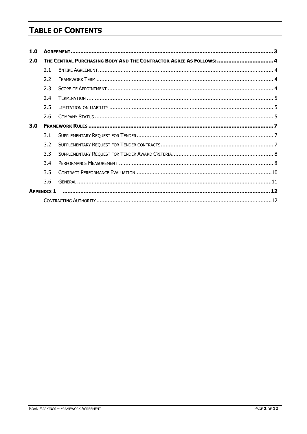# **TABLE OF CONTENTS**

| 1.0 |                                                                     |  |  |
|-----|---------------------------------------------------------------------|--|--|
| 2.0 | THE CENTRAL PURCHASING BODY AND THE CONTRACTOR AGREE AS FOLLOWS:  4 |  |  |
|     | 2.1                                                                 |  |  |
|     | 2.2                                                                 |  |  |
|     | 2.3                                                                 |  |  |
|     | 2.4                                                                 |  |  |
|     | 2.5                                                                 |  |  |
|     | 2.6                                                                 |  |  |
| 3.0 |                                                                     |  |  |
|     | 3.1                                                                 |  |  |
|     | 3.2                                                                 |  |  |
|     | 3.3                                                                 |  |  |
|     | 3.4                                                                 |  |  |
|     | 3.5                                                                 |  |  |
|     | 3.6                                                                 |  |  |
|     | <b>APPFNDIX 1</b>                                                   |  |  |
|     |                                                                     |  |  |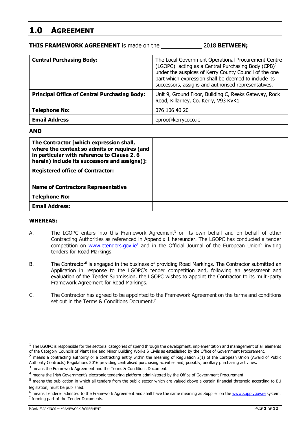# **1.0 AGREEMENT**

**THIS FRAMEWORK AGREEMENT** is made on the 2018 **BETWEEN;** 

| <b>Central Purchasing Body:</b>                     | The Local Government Operational Procurement Centre<br>(LGOPC) <sup>1</sup> acting as a Central Purchasing Body (CPB) <sup>2</sup><br>under the auspices of Kerry County Council of the one<br>part which expression shall be deemed to include its<br>successors, assigns and authorised representatives. |
|-----------------------------------------------------|------------------------------------------------------------------------------------------------------------------------------------------------------------------------------------------------------------------------------------------------------------------------------------------------------------|
| <b>Principal Office of Central Purchasing Body:</b> | Unit 9, Ground Floor, Building C, Reeks Gateway, Rock<br>Road, Killarney, Co. Kerry, V93 KVK1                                                                                                                                                                                                              |
| <b>Telephone No:</b>                                | 076 106 40 20                                                                                                                                                                                                                                                                                              |
| <b>Email Address</b>                                | eproc@kerrycoco.ie                                                                                                                                                                                                                                                                                         |

#### **AND**

| The Contractor [which expression shall,<br>where the context so admits or requires (and<br>in particular with reference to Clause 2.6<br>herein) include its successors and assigns)]: |  |
|----------------------------------------------------------------------------------------------------------------------------------------------------------------------------------------|--|
| <b>Registered office of Contractor:</b>                                                                                                                                                |  |
| <b>Name of Contractors Representative</b>                                                                                                                                              |  |
| <b>Telephone No:</b>                                                                                                                                                                   |  |
| <b>Email Address:</b>                                                                                                                                                                  |  |

#### **WHEREAS:**

- A. The LGOPC enters into this Framework Agreement<sup>3</sup> on its own behalf and on behalf of other Contracting Authorities as referenced in Appendix 1 hereunder. The LGOPC has conducted a tender competition on www.etenders.gov.ie<sup>4</sup> and in the Official Journal of the European Union<sup>5</sup> inviting tenders for Road Markings.
- B. The Contractor<sup>6</sup> is engaged in the business of providing Road Markings. The Contractor submitted an Application in response to the LGOPC's tender competition and, following an assessment and evaluation of the Tender Submission, the LGOPC wishes to appoint the Contractor to its multi-party Framework Agreement for Road Markings.
- C. The Contractor has agreed to be appointed to the Framework Agreement on the terms and conditions set out in the Terms & Conditions Document.<sup>7</sup>

 $1$  The LGOPC is responsible for the sectorial categories of spend through the development, implementation and management of all elements of the Category Councils of Plant Hire and Minor Building Works & Civils as established by the Office of Government Procurement.

 $2$  means a contracting authority or a contracting entity within the meaning of Regulation 2(1) of the European Union (Award of Public Authority Contracts) Regulations 2016 providing centralised purchasing activities and, possibly, ancillary purchasing activities.

<sup>&</sup>lt;sup>3</sup> means the Framework Agreement and the Terms & Conditions Document.

<sup>4</sup> means the Irish Government's electronic tendering platform administered by the Office of Government Procurement.

<sup>5</sup> means the publication in which all tenders from the public sector which are valued above a certain financial threshold according to EU legislation, must be published.

<sup>&</sup>lt;sup>6</sup> means Tenderer admitted to the Framework Agreement and shall have the same meaning as Supplier on the www.supplygov.ie system. <sup>7</sup> forming part of the Tender Documents.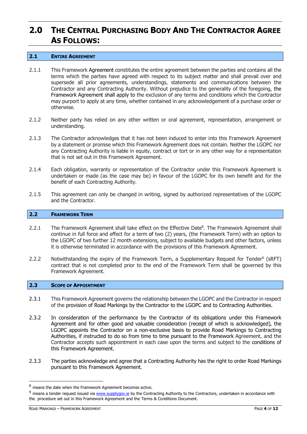# **2.0 THE CENTRAL PURCHASING BODY AND THE CONTRACTOR AGREE AS FOLLOWS:**

#### **2.1 ENTIRE AGREEMENT**

- 2.1.1 This Framework Agreement constitutes the entire agreement between the parties and contains all the terms which the parties have agreed with respect to its subject matter and shall prevail over and supersede all prior agreements, understandings, statements and communications between the Contractor and any Contracting Authority. Without prejudice to the generality of the foregoing, the Framework Agreement shall apply to the exclusion of any terms and conditions which the Contractor may purport to apply at any time, whether contained in any acknowledgement of a purchase order or otherwise.
- 2.1.2 Neither party has relied on any other written or oral agreement, representation, arrangement or understanding.
- 2.1.3 The Contractor acknowledges that it has not been induced to enter into this Framework Agreement by a statement or promise which this Framework Agreement does not contain. Neither the LGOPC nor any Contracting Authority is liable in equity, contract or tort or in any other way for a representation that is not set out in this Framework Agreement.
- 2.1.4 Each obligation, warranty or representation of the Contractor under this Framework Agreement is undertaken or made (as the case may be) in favour of the LGOPC for its own benefit and for the benefit of each Contracting Authority.
- 2.1.5 This agreement can only be changed in writing, signed by authorized representatives of the LGOPC and the Contractor.

#### **2.2 FRAMEWORK TERM**

- 2.2.1 The Framework Agreement shall take effect on the Effective Date<sup>8</sup>. The Framework Agreement shall continue in full force and effect for a term of two (2) years, (the Framework Term) with an option to the LGOPC of two further 12 month extensions, subject to available budgets and other factors, unless it is otherwise terminated in accordance with the provisions of this Framework Agreement.
- 2.2.2 Notwithstanding the expiry of the Framework Term, a Supplementary Request for Tender<sup>9</sup> (sRFT) contract that is not completed prior to the end of the Framework Term shall be governed by this Framework Agreement.

#### **2.3 SCOPE OF APPOINTMENT**

- 2.3.1 This Framework Agreement governs the relationship between the LGOPC and the Contractor in respect of the provision of Road Markings by the Contractor to the LGOPC and to Contracting Authorities.
- 2.3.2 In consideration of the performance by the Contractor of its obligations under this Framework Agreement and for other good and valuable consideration (receipt of which is acknowledged), the LGOPC appoints the Contractor on a non-exclusive basis to provide Road Markings to Contracting Authorities, if instructed to do so from time to time pursuant to the Framework Agreement, and the Contractor accepts such appointment in each case upon the terms and subject to the conditions of this Framework Agreement.
- 2.3.3 The parties acknowledge and agree that a Contracting Authority has the right to order Road Markings pursuant to this Framework Agreement.

 <sup>8</sup> means the date when the Framework Agreement becomes active.

 $9$  means a tender request issued via www.supplygov.ie by the Contracting Authority to the Contractors, undertaken in accordance with the procedure set out in this Framework Agreement and the Terms & Conditions Document.

ROAD MARKINGS – FRAMEWORK AGREEMENT **PAGE 4** OF **12**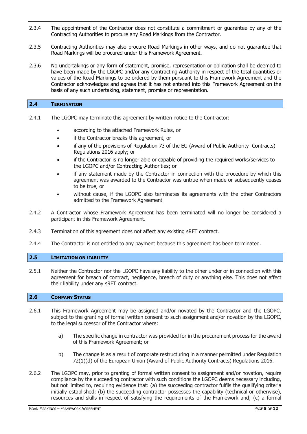- 2.3.4 The appointment of the Contractor does not constitute a commitment or guarantee by any of the Contracting Authorities to procure any Road Markings from the Contractor.
- 2.3.5 Contracting Authorities may also procure Road Markings in other ways, and do not guarantee that Road Markings will be procured under this Framework Agreement.
- 2.3.6 No undertakings or any form of statement, promise, representation or obligation shall be deemed to have been made by the LGOPC and/or any Contracting Authority in respect of the total quantities or values of the Road Markings to be ordered by them pursuant to this Framework Agreement and the Contractor acknowledges and agrees that it has not entered into this Framework Agreement on the basis of any such undertaking, statement, promise or representation.

| <b>CONTRACTOR</b><br>-2.4 | <b>TERMINATION</b> |  |  |  |
|---------------------------|--------------------|--|--|--|
|                           |                    |  |  |  |

- 2.4.1 The LGOPC may terminate this agreement by written notice to the Contractor:
	- · according to the attached Framework Rules, or
	- · if the Contractor breaks this agreement, or
	- · if any of the provisions of Regulation 73 of the EU (Award of Public Authority Contracts) Regulations 2016 apply; or
	- if the Contractor is no longer able or capable of providing the required works/services to the LGOPC and/or Contracting Authorities; or
	- if any statement made by the Contractor in connection with the procedure by which this agreement was awarded to the Contractor was untrue when made or subsequently ceases to be true, or
	- without cause, if the LGOPC also terminates its agreements with the other Contractors admitted to the Framework Agreement
- 2.4.2 A Contractor whose Framework Agreement has been terminated will no longer be considered a participant in this Framework Agreement.
- 2.4.3 Termination of this agreement does not affect any existing sRFT contract.
- 2.4.4 The Contractor is not entitled to any payment because this agreement has been terminated.

#### **2.5 LIMITATION ON LIABILITY**

2.5.1 Neither the Contractor nor the LGOPC have any liability to the other under or in connection with this agreement for breach of contract, negligence, breach of duty or anything else. This does not affect their liability under any sRFT contract.

#### **2.6 COMPANY STATUS**

- 2.6.1 This Framework Agreement may be assigned and/or novated by the Contractor and the LGOPC, subject to the granting of formal written consent to such assignment and/or novation by the LGOPC, to the legal successor of the Contractor where:
	- a) The specific change in contractor was provided for in the procurement process for the award of this Framework Agreement; or
	- b) The change is as a result of corporate restructuring in a manner permitted under Regulation 72(1)(d) of the European Union (Award of Public Authority Contracts) Regulations 2016.
- 2.6.2 The LGOPC may, prior to granting of formal written consent to assignment and/or novation, require compliance by the succeeding contractor with such conditions the LGOPC deems necessary including, but not limited to, requiring evidence that: (a) the succeeding contractor fulfils the qualifying criteria initially established; (b) the succeeding contractor possesses the capability (technical or otherwise), resources and skills in respect of satisfying the requirements of the Framework and; (c) a formal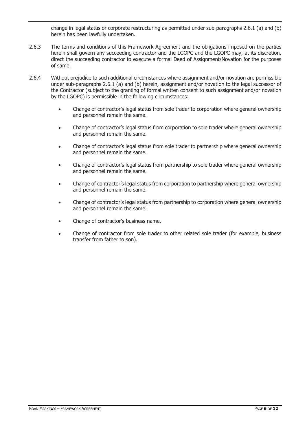change in legal status or corporate restructuring as permitted under sub-paragraphs 2.6.1 (a) and (b) herein has been lawfully undertaken.

- 2.6.3 The terms and conditions of this Framework Agreement and the obligations imposed on the parties herein shall govern any succeeding contractor and the LGOPC and the LGOPC may, at its discretion, direct the succeeding contractor to execute a formal Deed of Assignment/Novation for the purposes of same.
- 2.6.4 Without prejudice to such additional circumstances where assignment and/or novation are permissible under sub-paragraphs 2.6.1 (a) and (b) herein, assignment and/or novation to the legal successor of the Contractor (subject to the granting of formal written consent to such assignment and/or novation by the LGOPC) is permissible in the following circumstances:
	- · Change of contractor's legal status from sole trader to corporation where general ownership and personnel remain the same.
	- · Change of contractor's legal status from corporation to sole trader where general ownership and personnel remain the same.
	- · Change of contractor's legal status from sole trader to partnership where general ownership and personnel remain the same.
	- · Change of contractor's legal status from partnership to sole trader where general ownership and personnel remain the same.
	- · Change of contractor's legal status from corporation to partnership where general ownership and personnel remain the same.
	- · Change of contractor's legal status from partnership to corporation where general ownership and personnel remain the same.
	- · Change of contractor's business name.
	- Change of contractor from sole trader to other related sole trader (for example, business transfer from father to son).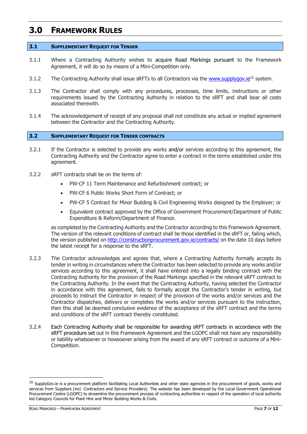### **3.0 FRAMEWORK RULES**

#### **3.1 SUPPLEMENTARY REQUEST FOR TENDER**

- 3.1.1 Where a Contracting Authority wishes to acquire Road Markings pursuant to the Framework Agreement, it will do so by means of a Mini-Competition only.
- 3.1.2 The Contracting Authority shall issue sRFTs to all Contractors via the www.supplygov.ie<sup>10</sup> system.
- 3.1.3 The Contractor shall comply with any procedures, processes, time limits, instructions or other requirements issued by the Contracting Authority in relation to the sRFT and shall bear all costs associated therewith.
- 3.1.4 The acknowledgement of receipt of any proposal shall not constitute any actual or implied agreement between the Contractor and the Contracting Authority.

#### **3.2 SUPPLEMENTARY REQUEST FOR TENDER CONTRACTS**

- 3.2.1 If the Contractor is selected to provide any works and/or services according to this agreement, the Contracting Authority and the Contractor agree to enter a contract in the terms established under this agreement.
- 3.2.2 sRFT contracts shall be on the terms of:
	- PW-CF 11 Term Maintenance and Refurbishment contract; or
	- PW-CF 6 Public Works Short Form of Contract; or
	- · PW-CF 5 Contract for Minor Building & Civil Engineering Works designed by the Employer; or
	- · Equivalent contract approved by the Office of Government Procurement/Department of Public Expenditure & Reform/Department of Finance.

as completed by the Contracting Authority and the Contractor according to this Framework Agreement. The version of the relevant conditions of contract shall be those identified in the sRFT or, failing which, the version published on http://constructionprocurement.gov.ie/contracts/ on the date 10 days before the latest receipt for a response to the sRFT.

- 3.2.3 The Contractor acknowledges and agrees that, where a Contracting Authority formally accepts its tender in writing in circumstances where the Contractor has been selected to provide any works and/or services according to this agreement, it shall have entered into a legally binding contract with the Contracting Authority for the provision of the Road Markings specified in the relevant sRFT contract to the Contracting Authority. In the event that the Contracting Authority, having selected the Contractor in accordance with this agreement, fails to formally accept the Contractor's tender in writing, but proceeds to instruct the Contractor in respect of the provision of the works and/or services and the Contractor dispatches, delivers or completes the works and/or services pursuant to the instruction, then this shall be deemed conclusive evidence of the acceptance of the sRFT contract and the terms and conditions of the sRFT contract thereby constituted.
- 3.2.4 Each Contracting Authority shall be responsible for awarding sRFT contracts in accordance with the sRFT procedure set out in this Framework Agreement and the LGOPC shall not have any responsibility or liability whatsoever or howsoever arising from the award of any sRFT contract or outcome of a Mini-Competition.

ROAD MARKINGS – FRAMEWORK AGREEMENT **PAGE 7** OF 12

 $10$  SupplyGov.ie is a procurement platform facilitating Local Authorities and other state agencies in the procurement of goods, works and services from Suppliers (incl. Contractors and Service Providers). The website has been developed by the Local Government Operational Procurement Centre (LGOPC) to streamline the procurement process of contracting authorities in respect of the operation of local authority led Category Councils for Plant Hire and Minor Building Works & Civils.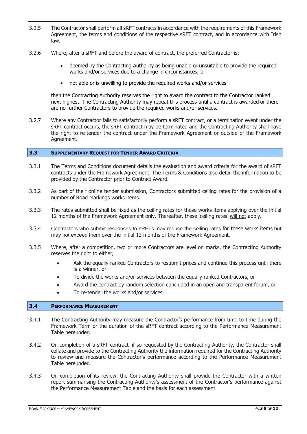- 3.2.5 The Contractor shall perform all sRFT contracts in accordance with the requirements of this Framework Agreement, the terms and conditions of the respective sRFT contract, and in accordance with Irish law.
- 3.2.6 Where, after a sRFT and before the award of contract, the preferred Contractor is:
	- · deemed by the Contracting Authority as being unable or unsuitable to provide the required works and/or services due to a change in circumstances; or
	- · not able or is unwilling to provide the required works and/or services

then the Contracting Authority reserves the right to award the contract to the Contractor ranked next highest. The Contracting Authority may repeat this process until a contract is awarded or there are no further Contractors to provide the required works and/or services.

3.2.7 Where any Contractor fails to satisfactorily perform a sRFT contract, or a termination event under the sRFT contract occurs, the sRFT contract may be terminated and the Contracting Authority shall have the right to re-tender the contract under the Framework Agreement or outside of the Framework Agreement.

#### **3.3 SUPPLEMENTARY REQUEST FOR TENDER AWARD CRITERIA**

- 3.3.1 The Terms and Conditions document details the evaluation and award criteria for the award of sRFT contracts under the Framework Agreement. The Terms & Conditions also detail the information to be provided by the Contractor prior to Contract Award.
- 3.3.2 As part of their online tender submission, Contractors submitted ceiling rates for the provision of a number of Road Markings works items.
- 3.3.3 The rates submitted shall be fixed as the ceiling rates for these works items applying over the initial 12 months of the Framework Agreement only. Thereafter, these 'ceiling rates' will not apply.
- 3.3.4 Contractors who submit responses to sRFTs may reduce the ceiling rates for these works items but may not exceed them over the initial 12 months of the Framework Agreement.
- 3.3.5 Where, after a competition, two or more Contractors are level on marks, the Contracting Authority reserves the right to either;
	- Ask the equally ranked Contractors to resubmit prices and continue this process until there is a winner, or
	- · To divide the works and/or services between the equally ranked Contractors, or
	- · Award the contract by random selection concluded in an open and transparent forum, or
	- · To re-tender the works and/or services.

#### **3.4 PERFORMANCE MEASUREMENT**

- 3.4.1 The Contracting Authority may measure the Contractor's performance from time to time during the Framework Term or the duration of the sRFT contract according to the Performance Measurement Table hereunder.
- 3.4.2 On completion of a sRFT contract, if so requested by the Contracting Authority, the Contractor shall collate and provide to the Contracting Authority the information required for the Contracting Authority to review and measure the Contractor's performance according to the Performance Measurement Table hereunder.
- 3.4.3 On completion of its review, the Contracting Authority shall provide the Contractor with a written report summarising the Contracting Authority's assessment of the Contractor's performance against the Performance Measurement Table and the basis for each assessment.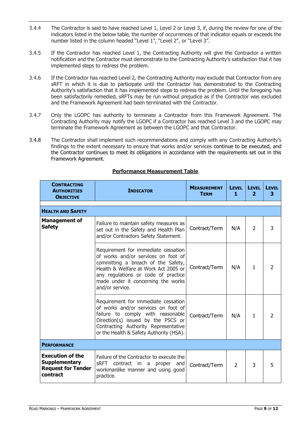- 3.4.4 The Contractor is said to have reached Level 1, Level 2 or Level 3, if, during the review for one of the indicators listed in the below table, the number of occurrences of that indicator equals or exceeds the number listed in the column headed "Level 1", "Level 2", or "Level 3".
- 3.4.5 If the Contractor has reached Level 1, the Contracting Authority will give the Contractor a written notification and the Contractor must demonstrate to the Contracting Authority's satisfaction that it has implemented steps to redress the problem.
- 3.4.6 If the Contractor has reached Level 2, the Contracting Authority may exclude that Contractor from any sRFT in which it is due to participate until the Contractor has demonstrated to the Contracting Authority's satisfaction that it has implemented steps to redress the problem. Until the foregoing has been satisfactorily remedied, sRFTs may be run without prejudice as if the Contractor was excluded and the Framework Agreement had been terminated with the Contractor.
- 3.4.7 Only the LGOPC has authority to terminate a Contractor from this Framework Agreement. The Contracting Authority may notify the LGOPC if a Contractor has reached Level 3 and the LGOPC may terminate the Framework Agreement as between the LGOPC and that Contractor.
- 3.4.8 The Contractor shall implement such recommendations and comply with any Contracting Authority's findings to the extent necessary to ensure that works and/or services continue to be executed, and the Contractor continues to meet its obligations in accordance with the requirements set out in this Framework Agreement.

| <b>CONTRACTING</b><br><b>AUTHORITIES</b><br><b>OBJECTIVE</b>                             | <b>INDICATOR</b>                                                                                                                                                                                                                                         | <b>MEASUREMENT</b><br><b>TERM</b> | <b>LEVEL</b><br>1 | <b>LEVEL</b><br>$\overline{2}$ | <b>LEVEL</b><br>3 |
|------------------------------------------------------------------------------------------|----------------------------------------------------------------------------------------------------------------------------------------------------------------------------------------------------------------------------------------------------------|-----------------------------------|-------------------|--------------------------------|-------------------|
|                                                                                          |                                                                                                                                                                                                                                                          |                                   |                   |                                |                   |
| <b>HEALTH AND SAFETY</b>                                                                 |                                                                                                                                                                                                                                                          |                                   |                   |                                |                   |
| <b>Management of</b><br><b>Safety</b>                                                    | Failure to maintain safety measures as<br>set out in the Safety and Health Plan<br>and/or Contractors Safety Statement.                                                                                                                                  | Contract/Term                     | N/A               | 2                              | 3                 |
|                                                                                          | Requirement for immediate cessation<br>of works and/or services on foot of<br>committing a breach of the Safety,<br>Health & Welfare at Work Act 2005 or<br>any regulations or code of practice<br>made under it concerning the works<br>and/or service. | Contract/Term                     | N/A               | $\mathbf{1}$                   | $\overline{2}$    |
|                                                                                          | Requirement for immediate cessation<br>of works and/or services on foot of<br>failure to comply with reasonable<br>Direction(s) issued by the PSCS or<br>Contracting Authority Representative<br>or the Health & Safety Authority (HSA).                 | Contract/Term                     | N/A               | 1                              | $\overline{2}$    |
| <b>PERFORMANCE</b>                                                                       |                                                                                                                                                                                                                                                          |                                   |                   |                                |                   |
| <b>Execution of the</b><br><b>Supplementary</b><br><b>Request for Tender</b><br>contract | Failure of the Contractor to execute the<br>contract in a<br>sRFT<br>proper<br>and<br>workmanlike manner and using good<br>practice.                                                                                                                     | Contract/Term                     | $\overline{2}$    | 3                              | 5                 |

#### **Performance Measurement Table**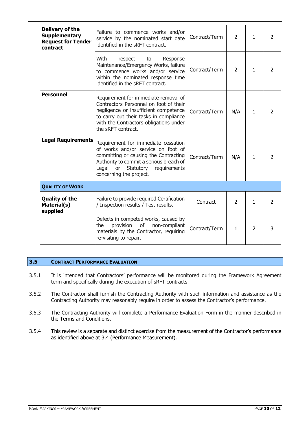| Delivery of the<br><b>Supplementary</b><br><b>Request for Tender</b><br>contract | Failure to commence works and/or<br>service by the nominated start date<br>identified in the sRFT contract.                                                                                                                       | Contract/Term | $\overline{2}$ | $\mathbf{1}$   | 2              |
|----------------------------------------------------------------------------------|-----------------------------------------------------------------------------------------------------------------------------------------------------------------------------------------------------------------------------------|---------------|----------------|----------------|----------------|
|                                                                                  | With<br>respect<br>Response<br>to<br>Maintenance/Emergency Works, failure<br>to commence works and/or service<br>within the nominated response time<br>identified in the sRFT contract.                                           | Contract/Term | $\overline{2}$ | 1              | 2              |
| <b>Personnel</b>                                                                 | Requirement for immediate removal of<br>Contractors Personnel on foot of their<br>negligence or insufficient competence<br>to carry out their tasks in compliance<br>with the Contractors obligations under<br>the sRFT contract. | Contract/Term | N/A            | 1              | $\overline{2}$ |
| <b>Legal Requirements</b>                                                        | Requirement for immediate cessation<br>of works and/or service on foot of<br>committing or causing the Contracting<br>Authority to commit a serious breach of<br>Legal<br>or Statutory<br>requirements<br>concerning the project. | Contract/Term | N/A            | $\mathbf{1}$   | $\overline{2}$ |
| <b>QUALITY OF WORK</b>                                                           |                                                                                                                                                                                                                                   |               |                |                |                |
| <b>Quality of the</b><br>Material(s)<br>supplied                                 | Failure to provide required Certification<br>/ Inspection results / Test results.                                                                                                                                                 | Contract      | $\overline{2}$ | 1              | 2              |
|                                                                                  | Defects in competed works, caused by<br>non-compliant<br>the<br>provision<br>οf<br>materials by the Contractor, requiring<br>re-visiting to repair.                                                                               | Contract/Term | $\mathbf{1}$   | $\overline{2}$ | 3              |

#### **3.5 CONTRACT PERFORMANCE EVALUATION**

- 3.5.1 It is intended that Contractors' performance will be monitored during the Framework Agreement term and specifically during the execution of sRFT contracts.
- 3.5.2 The Contractor shall furnish the Contracting Authority with such information and assistance as the Contracting Authority may reasonably require in order to assess the Contractor's performance.
- 3.5.3 The Contracting Authority will complete a Performance Evaluation Form in the manner described in the Terms and Conditions.
- 3.5.4 This review is a separate and distinct exercise from the measurement of the Contractor's performance as identified above at 3.4 (Performance Measurement).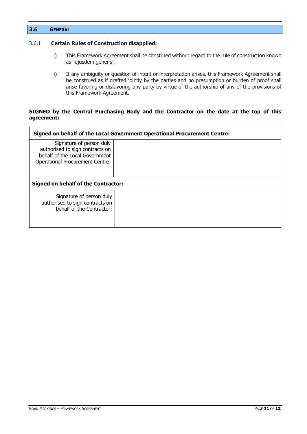| 3.6 | <b>GENERAL</b> |
|-----|----------------|
|     |                |

#### 3.6.1 **Certain Rules of Construction disapplied:**

- i) This Framework Agreement shall be construed without regard to the rule of construction known as "ejusdem generis".
- ii) If any ambiguity or question of intent or interpretation arises, this Framework Agreement shall be construed as if drafted jointly by the parties and no presumption or burden of proof shall arise favoring or disfavoring any party by virtue of the authorship of any of the provisions of this Framework Agreement.

#### **SIGNED by the Central Purchasing Body and the Contractor on the date at the top of this agreement:**

| Signed on behalf of the Local Government Operational Procurement Centre:                                                                |  |  |  |
|-----------------------------------------------------------------------------------------------------------------------------------------|--|--|--|
| Signature of person duly<br>authorised to sign contracts on<br>behalf of the Local Government<br><b>Operational Procurement Centre:</b> |  |  |  |
|                                                                                                                                         |  |  |  |
| <b>Signed on behalf of the Contractor:</b>                                                                                              |  |  |  |
| Signature of person duly<br>authorised to sign contracts on<br>behalf of the Contractor:                                                |  |  |  |